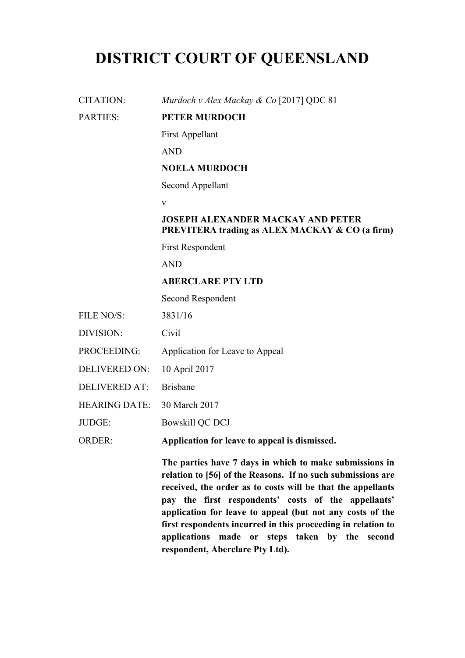# **DISTRICT COURT OF QUEENSLAND**

CITATION: *Murdoch v Alex Mackay & Co* [2017] QDC 81

#### PARTIES: **PETER MURDOCH**

First Appellant

AND

# **NOELA MURDOCH**

Second Appellant

v

## **JOSEPH ALEXANDER MACKAY AND PETER PREVITERA trading as ALEX MACKAY & CO (a firm)**

First Respondent

AND

#### **ABERCLARE PTY LTD**

Second Respondent

- FILE NO/S: 3831/16
- DIVISION: Civil
- PROCEEDING: Application for Leave to Appeal
- DELIVERED ON: 10 April 2017
- DELIVERED AT: Brisbane
- HEARING DATE: 30 March 2017
- JUDGE: Bowskill QC DCJ

ORDER: **Application for leave to appeal is dismissed.**

**The parties have 7 days in which to make submissions in relation to [56] of the Reasons. If no such submissions are received, the order as to costs will be that the appellants pay the first respondents' costs of the appellants' application for leave to appeal (but not any costs of the first respondents incurred in this proceeding in relation to applications made or steps taken by the second respondent, Aberclare Pty Ltd).**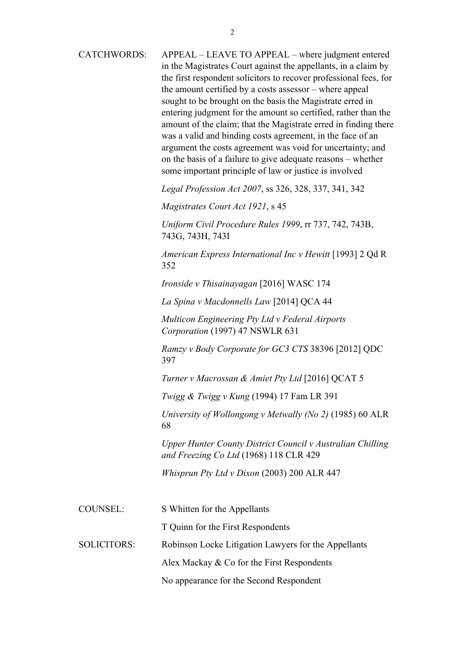| <b>CATCHWORDS:</b> | APPEAL – LEAVE TO APPEAL – where judgment entered<br>in the Magistrates Court against the appellants, in a claim by<br>the first respondent solicitors to recover professional fees, for<br>the amount certified by a costs assessor – where appeal<br>sought to be brought on the basis the Magistrate erred in<br>entering judgment for the amount so certified, rather than the<br>amount of the claim; that the Magistrate erred in finding there<br>was a valid and binding costs agreement, in the face of an<br>argument the costs agreement was void for uncertainty; and<br>on the basis of a failure to give adequate reasons – whether<br>some important principle of law or justice is involved |
|--------------------|-------------------------------------------------------------------------------------------------------------------------------------------------------------------------------------------------------------------------------------------------------------------------------------------------------------------------------------------------------------------------------------------------------------------------------------------------------------------------------------------------------------------------------------------------------------------------------------------------------------------------------------------------------------------------------------------------------------|
|                    | Legal Profession Act 2007, ss 326, 328, 337, 341, 342                                                                                                                                                                                                                                                                                                                                                                                                                                                                                                                                                                                                                                                       |
|                    | Magistrates Court Act 1921, s 45                                                                                                                                                                                                                                                                                                                                                                                                                                                                                                                                                                                                                                                                            |
|                    | Uniform Civil Procedure Rules 1999, rr 737, 742, 743B,<br>743G, 743H, 743I                                                                                                                                                                                                                                                                                                                                                                                                                                                                                                                                                                                                                                  |
|                    | American Express International Inc v Hewitt [1993] 2 Qd R<br>352                                                                                                                                                                                                                                                                                                                                                                                                                                                                                                                                                                                                                                            |
|                    | Ironside v Thisainayagan [2016] WASC 174                                                                                                                                                                                                                                                                                                                                                                                                                                                                                                                                                                                                                                                                    |
|                    | La Spina v Macdonnells Law [2014] QCA 44                                                                                                                                                                                                                                                                                                                                                                                                                                                                                                                                                                                                                                                                    |
|                    | Multicon Engineering Pty Ltd v Federal Airports<br>Corporation (1997) 47 NSWLR 631                                                                                                                                                                                                                                                                                                                                                                                                                                                                                                                                                                                                                          |
|                    | Ramzy v Body Corporate for GC3 CTS 38396 [2012] QDC<br>397                                                                                                                                                                                                                                                                                                                                                                                                                                                                                                                                                                                                                                                  |
|                    | Turner v Macrossan & Amiet Pty Ltd [2016] QCAT 5                                                                                                                                                                                                                                                                                                                                                                                                                                                                                                                                                                                                                                                            |
|                    | Twigg & Twigg v Kung (1994) 17 Fam LR 391                                                                                                                                                                                                                                                                                                                                                                                                                                                                                                                                                                                                                                                                   |
|                    | University of Wollongong v Metwally (No 2) (1985) 60 ALR<br>68                                                                                                                                                                                                                                                                                                                                                                                                                                                                                                                                                                                                                                              |
|                    | Upper Hunter County District Council v Australian Chilling<br>and Freezing Co Ltd (1968) 118 CLR 429                                                                                                                                                                                                                                                                                                                                                                                                                                                                                                                                                                                                        |
|                    | Whisprun Pty Ltd v Dixon (2003) 200 ALR 447                                                                                                                                                                                                                                                                                                                                                                                                                                                                                                                                                                                                                                                                 |
| <b>COUNSEL:</b>    | S Whitten for the Appellants                                                                                                                                                                                                                                                                                                                                                                                                                                                                                                                                                                                                                                                                                |
|                    | T Quinn for the First Respondents                                                                                                                                                                                                                                                                                                                                                                                                                                                                                                                                                                                                                                                                           |
| <b>SOLICITORS:</b> | Robinson Locke Litigation Lawyers for the Appellants                                                                                                                                                                                                                                                                                                                                                                                                                                                                                                                                                                                                                                                        |
|                    | Alex Mackay & Co for the First Respondents                                                                                                                                                                                                                                                                                                                                                                                                                                                                                                                                                                                                                                                                  |
|                    | No appearance for the Second Respondent                                                                                                                                                                                                                                                                                                                                                                                                                                                                                                                                                                                                                                                                     |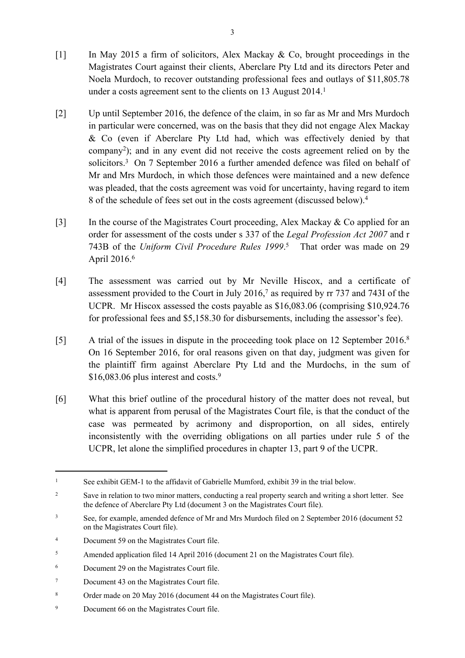- [1] In May 2015 a firm of solicitors, Alex Mackay & Co, brought proceedings in the Magistrates Court against their clients, Aberclare Pty Ltd and its directors Peter and Noela Murdoch, to recover outstanding professional fees and outlays of \$11,805.78 under a costs agreement sent to the clients on 13 August 2014.<sup>1</sup>
- [2] Up until September 2016, the defence of the claim, in so far as Mr and Mrs Murdoch in particular were concerned, was on the basis that they did not engage Alex Mackay & Co (even if Aberclare Pty Ltd had, which was effectively denied by that company<sup>2</sup> ); and in any event did not receive the costs agreement relied on by the solicitors.<sup>3</sup> On 7 September 2016 a further amended defence was filed on behalf of Mr and Mrs Murdoch, in which those defences were maintained and a new defence was pleaded, that the costs agreement was void for uncertainty, having regard to item 8 of the schedule of fees set out in the costs agreement (discussed below).<sup>4</sup>
- [3] In the course of the Magistrates Court proceeding, Alex Mackay & Co applied for an order for assessment of the costs under s 337 of the *Legal Profession Act 2007* and r 743B of the *Uniform Civil Procedure Rules 1999*. 5 That order was made on 29 April 2016.<sup>6</sup>
- [4] The assessment was carried out by Mr Neville Hiscox, and a certificate of assessment provided to the Court in July  $2016<sup>7</sup>$  as required by rr 737 and 743I of the UCPR. Mr Hiscox assessed the costs payable as \$16,083.06 (comprising \$10,924.76 for professional fees and \$5,158.30 for disbursements, including the assessor's fee).
- [5] A trial of the issues in dispute in the proceeding took place on 12 September 2016.<sup>8</sup> On 16 September 2016, for oral reasons given on that day, judgment was given for the plaintiff firm against Aberclare Pty Ltd and the Murdochs, in the sum of  $$16,083.06$  plus interest and costs.<sup>9</sup>
- [6] What this brief outline of the procedural history of the matter does not reveal, but what is apparent from perusal of the Magistrates Court file, is that the conduct of the case was permeated by acrimony and disproportion, on all sides, entirely inconsistently with the overriding obligations on all parties under rule 5 of the UCPR, let alone the simplified procedures in chapter 13, part 9 of the UCPR.

9 Document 66 on the Magistrates Court file.

<sup>1</sup> See exhibit GEM-1 to the affidavit of Gabrielle Mumford, exhibit 39 in the trial below.

<sup>2</sup> Save in relation to two minor matters, conducting a real property search and writing a short letter. See the defence of Aberclare Pty Ltd (document 3 on the Magistrates Court file).

<sup>3</sup> See, for example, amended defence of Mr and Mrs Murdoch filed on 2 September 2016 (document 52 on the Magistrates Court file).

<sup>4</sup> Document 59 on the Magistrates Court file.

<sup>5</sup> Amended application filed 14 April 2016 (document 21 on the Magistrates Court file).

<sup>6</sup> Document 29 on the Magistrates Court file.

<sup>7</sup> Document 43 on the Magistrates Court file.

<sup>8</sup> Order made on 20 May 2016 (document 44 on the Magistrates Court file).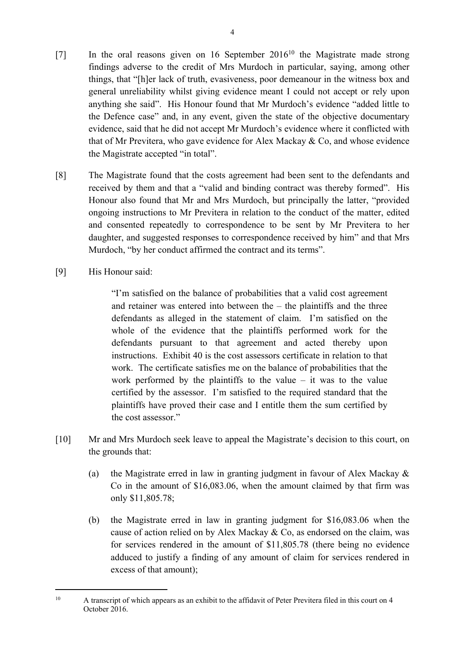- [7] In the oral reasons given on 16 September 2016<sup>10</sup> the Magistrate made strong findings adverse to the credit of Mrs Murdoch in particular, saying, among other things, that "[h]er lack of truth, evasiveness, poor demeanour in the witness box and general unreliability whilst giving evidence meant I could not accept or rely upon anything she said". His Honour found that Mr Murdoch's evidence "added little to the Defence case" and, in any event, given the state of the objective documentary evidence, said that he did not accept Mr Murdoch's evidence where it conflicted with that of Mr Previtera, who gave evidence for Alex Mackay & Co, and whose evidence the Magistrate accepted "in total".
- [8] The Magistrate found that the costs agreement had been sent to the defendants and received by them and that a "valid and binding contract was thereby formed". His Honour also found that Mr and Mrs Murdoch, but principally the latter, "provided ongoing instructions to Mr Previtera in relation to the conduct of the matter, edited and consented repeatedly to correspondence to be sent by Mr Previtera to her daughter, and suggested responses to correspondence received by him" and that Mrs Murdoch, "by her conduct affirmed the contract and its terms".
- [9] His Honour said:

"I'm satisfied on the balance of probabilities that a valid cost agreement and retainer was entered into between the – the plaintiffs and the three defendants as alleged in the statement of claim. I'm satisfied on the whole of the evidence that the plaintiffs performed work for the defendants pursuant to that agreement and acted thereby upon instructions. Exhibit 40 is the cost assessors certificate in relation to that work. The certificate satisfies me on the balance of probabilities that the work performed by the plaintiffs to the value  $-$  it was to the value certified by the assessor. I'm satisfied to the required standard that the plaintiffs have proved their case and I entitle them the sum certified by the cost assessor."

- [10] Mr and Mrs Murdoch seek leave to appeal the Magistrate's decision to this court, on the grounds that:
	- (a) the Magistrate erred in law in granting judgment in favour of Alex Mackay & Co in the amount of \$16,083.06, when the amount claimed by that firm was only \$11,805.78;
	- (b) the Magistrate erred in law in granting judgment for \$16,083.06 when the cause of action relied on by Alex Mackay & Co, as endorsed on the claim, was for services rendered in the amount of \$11,805.78 (there being no evidence adduced to justify a finding of any amount of claim for services rendered in excess of that amount);

<sup>10</sup> A transcript of which appears as an exhibit to the affidavit of Peter Previtera filed in this court on 4 October 2016.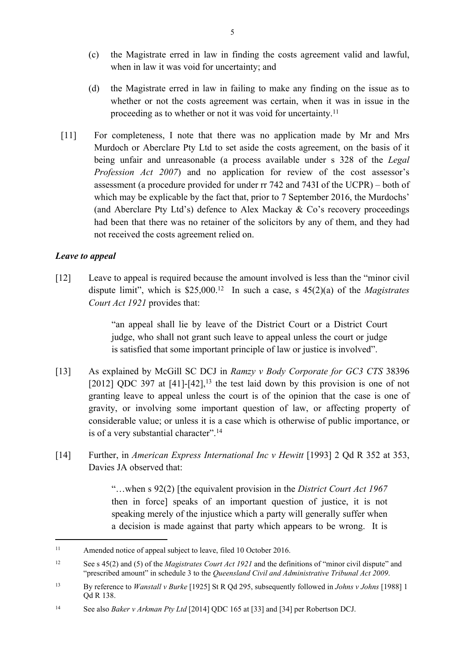- (c) the Magistrate erred in law in finding the costs agreement valid and lawful, when in law it was void for uncertainty; and
- (d) the Magistrate erred in law in failing to make any finding on the issue as to whether or not the costs agreement was certain, when it was in issue in the proceeding as to whether or not it was void for uncertainty.<sup>11</sup>
- [11] For completeness, I note that there was no application made by Mr and Mrs Murdoch or Aberclare Pty Ltd to set aside the costs agreement, on the basis of it being unfair and unreasonable (a process available under s 328 of the *Legal Profession Act 2007*) and no application for review of the cost assessor's assessment (a procedure provided for under rr 742 and 743I of the UCPR) – both of which may be explicable by the fact that, prior to 7 September 2016, the Murdochs' (and Aberclare Pty Ltd's) defence to Alex Mackay & Co's recovery proceedings had been that there was no retainer of the solicitors by any of them, and they had not received the costs agreement relied on.

### *Leave to appeal*

[12] Leave to appeal is required because the amount involved is less than the "minor civil dispute limit", which is \$25,000.<sup>12</sup> In such a case, s 45(2)(a) of the *Magistrates Court Act 1921* provides that:

> "an appeal shall lie by leave of the District Court or a District Court judge, who shall not grant such leave to appeal unless the court or judge is satisfied that some important principle of law or justice is involved".

- [13] As explained by McGill SC DCJ in *Ramzy v Body Corporate for GC3 CTS* 38396 [2012] ODC 397 at  $[41]$ - $[42]$ ,<sup>13</sup> the test laid down by this provision is one of not granting leave to appeal unless the court is of the opinion that the case is one of gravity, or involving some important question of law, or affecting property of considerable value; or unless it is a case which is otherwise of public importance, or is of a very substantial character".<sup>14</sup>
- [14] Further, in *American Express International Inc v Hewitt* [1993] 2 Qd R 352 at 353, Davies JA observed that:

"…when s 92(2) [the equivalent provision in the *District Court Act 1967* then in force] speaks of an important question of justice, it is not speaking merely of the injustice which a party will generally suffer when a decision is made against that party which appears to be wrong. It is

<sup>&</sup>lt;sup>11</sup> Amended notice of appeal subject to leave, filed 10 October 2016.

<sup>12</sup> See s 45(2) and (5) of the *Magistrates Court Act 1921* and the definitions of "minor civil dispute" and "prescribed amount" in schedule 3 to the *Queensland Civil and Administrative Tribunal Act 2009*.

<sup>13</sup> By reference to *Wanstall v Burke* [1925] St R Qd 295, subsequently followed in *Johns v Johns* [1988] 1 Qd R 138.

<sup>14</sup> See also *Baker v Arkman Pty Ltd* [2014] QDC 165 at [33] and [34] per Robertson DCJ.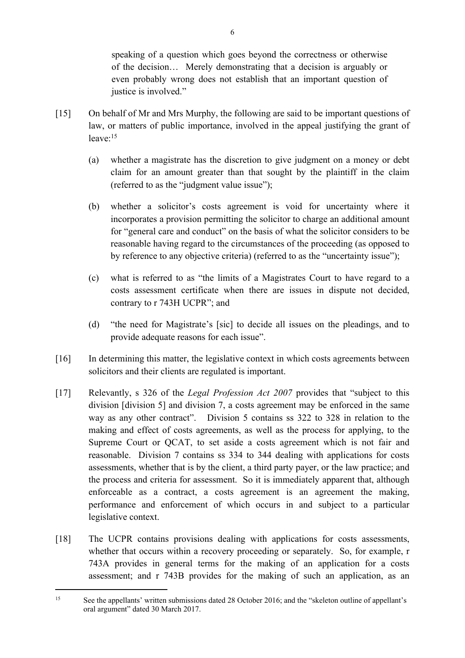speaking of a question which goes beyond the correctness or otherwise of the decision… Merely demonstrating that a decision is arguably or even probably wrong does not establish that an important question of justice is involved."

- [15] On behalf of Mr and Mrs Murphy, the following are said to be important questions of law, or matters of public importance, involved in the appeal justifying the grant of leave:<sup>15</sup>
	- (a) whether a magistrate has the discretion to give judgment on a money or debt claim for an amount greater than that sought by the plaintiff in the claim (referred to as the "judgment value issue");
	- (b) whether a solicitor's costs agreement is void for uncertainty where it incorporates a provision permitting the solicitor to charge an additional amount for "general care and conduct" on the basis of what the solicitor considers to be reasonable having regard to the circumstances of the proceeding (as opposed to by reference to any objective criteria) (referred to as the "uncertainty issue");
	- (c) what is referred to as "the limits of a Magistrates Court to have regard to a costs assessment certificate when there are issues in dispute not decided, contrary to r 743H UCPR"; and
	- (d) "the need for Magistrate's [sic] to decide all issues on the pleadings, and to provide adequate reasons for each issue".
- [16] In determining this matter, the legislative context in which costs agreements between solicitors and their clients are regulated is important.
- [17] Relevantly, s 326 of the *Legal Profession Act 2007* provides that "subject to this division [division 5] and division 7, a costs agreement may be enforced in the same way as any other contract". Division 5 contains ss 322 to 328 in relation to the making and effect of costs agreements, as well as the process for applying, to the Supreme Court or QCAT, to set aside a costs agreement which is not fair and reasonable. Division 7 contains ss 334 to 344 dealing with applications for costs assessments, whether that is by the client, a third party payer, or the law practice; and the process and criteria for assessment. So it is immediately apparent that, although enforceable as a contract, a costs agreement is an agreement the making, performance and enforcement of which occurs in and subject to a particular legislative context.
- [18] The UCPR contains provisions dealing with applications for costs assessments, whether that occurs within a recovery proceeding or separately. So, for example, r 743A provides in general terms for the making of an application for a costs assessment; and r 743B provides for the making of such an application, as an

<sup>&</sup>lt;sup>15</sup> See the appellants' written submissions dated 28 October 2016; and the "skeleton outline of appellant's oral argument" dated 30 March 2017.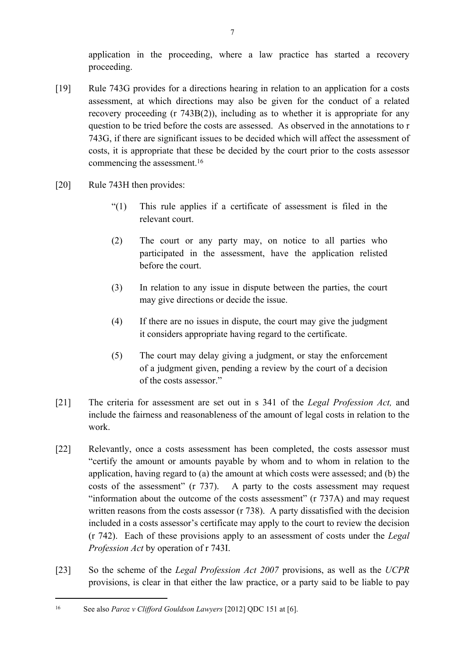application in the proceeding, where a law practice has started a recovery proceeding.

- [19] Rule 743G provides for a directions hearing in relation to an application for a costs assessment, at which directions may also be given for the conduct of a related recovery proceeding (r 743B(2)), including as to whether it is appropriate for any question to be tried before the costs are assessed. As observed in the annotations to r 743G, if there are significant issues to be decided which will affect the assessment of costs, it is appropriate that these be decided by the court prior to the costs assessor commencing the assessment.<sup>16</sup>
- [20] Rule 743H then provides:
	- "(1) This rule applies if a certificate of assessment is filed in the relevant court.
	- (2) The court or any party may, on notice to all parties who participated in the assessment, have the application relisted before the court.
	- (3) In relation to any issue in dispute between the parties, the court may give directions or decide the issue.
	- (4) If there are no issues in dispute, the court may give the judgment it considers appropriate having regard to the certificate.
	- (5) The court may delay giving a judgment, or stay the enforcement of a judgment given, pending a review by the court of a decision of the costs assessor."
- [21] The criteria for assessment are set out in s 341 of the *Legal Profession Act,* and include the fairness and reasonableness of the amount of legal costs in relation to the work.
- [22] Relevantly, once a costs assessment has been completed, the costs assessor must "certify the amount or amounts payable by whom and to whom in relation to the application, having regard to (a) the amount at which costs were assessed; and (b) the costs of the assessment" (r 737). A party to the costs assessment may request "information about the outcome of the costs assessment" (r 737A) and may request written reasons from the costs assessor (r 738). A party dissatisfied with the decision included in a costs assessor's certificate may apply to the court to review the decision (r 742). Each of these provisions apply to an assessment of costs under the *Legal Profession Act* by operation of r 743I.
- [23] So the scheme of the *Legal Profession Act 2007* provisions, as well as the *UCPR* provisions, is clear in that either the law practice, or a party said to be liable to pay

<sup>16</sup> See also *Paroz v Clifford Gouldson Lawyers* [2012] QDC 151 at [6].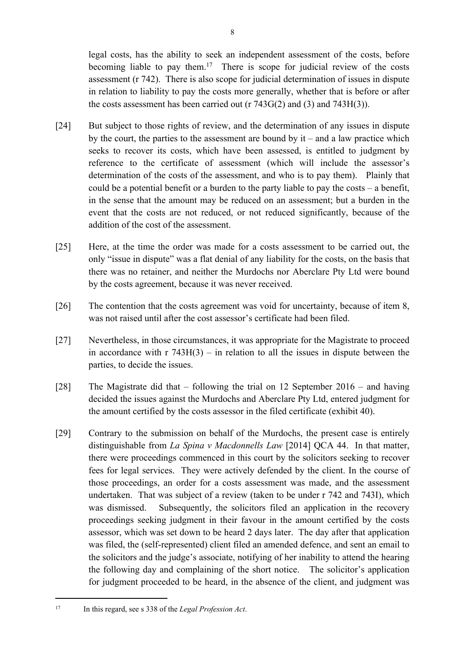legal costs, has the ability to seek an independent assessment of the costs, before becoming liable to pay them.<sup>17</sup> There is scope for judicial review of the costs assessment (r 742). There is also scope for judicial determination of issues in dispute in relation to liability to pay the costs more generally, whether that is before or after the costs assessment has been carried out ( $r$  743 $G(2)$  and (3) and 743 $H(3)$ ).

- [24] But subject to those rights of review, and the determination of any issues in dispute by the court, the parties to the assessment are bound by  $it$  – and a law practice which seeks to recover its costs, which have been assessed, is entitled to judgment by reference to the certificate of assessment (which will include the assessor's determination of the costs of the assessment, and who is to pay them). Plainly that could be a potential benefit or a burden to the party liable to pay the costs – a benefit, in the sense that the amount may be reduced on an assessment; but a burden in the event that the costs are not reduced, or not reduced significantly, because of the addition of the cost of the assessment.
- [25] Here, at the time the order was made for a costs assessment to be carried out, the only "issue in dispute" was a flat denial of any liability for the costs, on the basis that there was no retainer, and neither the Murdochs nor Aberclare Pty Ltd were bound by the costs agreement, because it was never received.
- [26] The contention that the costs agreement was void for uncertainty, because of item 8, was not raised until after the cost assessor's certificate had been filed.
- [27] Nevertheless, in those circumstances, it was appropriate for the Magistrate to proceed in accordance with  $r 743H(3) - in$  relation to all the issues in dispute between the parties, to decide the issues.
- [28] The Magistrate did that following the trial on 12 September 2016 and having decided the issues against the Murdochs and Aberclare Pty Ltd, entered judgment for the amount certified by the costs assessor in the filed certificate (exhibit 40).
- [29] Contrary to the submission on behalf of the Murdochs, the present case is entirely distinguishable from *La Spina v Macdonnells Law* [2014] QCA 44. In that matter, there were proceedings commenced in this court by the solicitors seeking to recover fees for legal services. They were actively defended by the client. In the course of those proceedings, an order for a costs assessment was made, and the assessment undertaken. That was subject of a review (taken to be under r 742 and 743I), which was dismissed. Subsequently, the solicitors filed an application in the recovery proceedings seeking judgment in their favour in the amount certified by the costs assessor, which was set down to be heard 2 days later. The day after that application was filed, the (self-represented) client filed an amended defence, and sent an email to the solicitors and the judge's associate, notifying of her inability to attend the hearing the following day and complaining of the short notice. The solicitor's application for judgment proceeded to be heard, in the absence of the client, and judgment was

<sup>17</sup> In this regard, see s 338 of the *Legal Profession Act*.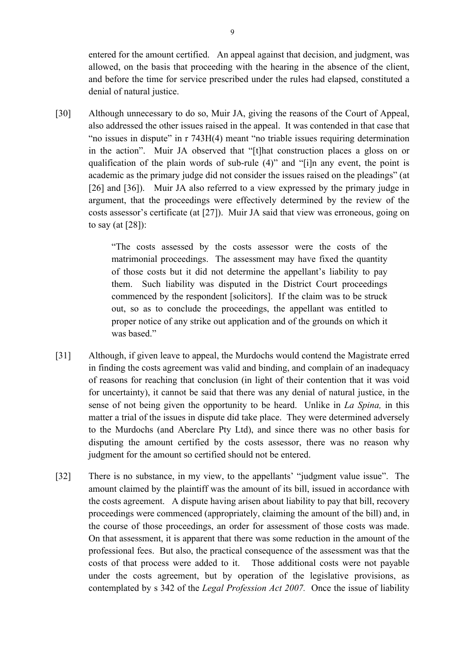entered for the amount certified. An appeal against that decision, and judgment, was allowed, on the basis that proceeding with the hearing in the absence of the client, and before the time for service prescribed under the rules had elapsed, constituted a denial of natural justice.

[30] Although unnecessary to do so, Muir JA, giving the reasons of the Court of Appeal, also addressed the other issues raised in the appeal. It was contended in that case that "no issues in dispute" in r 743H(4) meant "no triable issues requiring determination in the action". Muir JA observed that "[t]hat construction places a gloss on or qualification of the plain words of sub-rule (4)" and "[i]n any event, the point is academic as the primary judge did not consider the issues raised on the pleadings" (at [26] and [36]). Muir JA also referred to a view expressed by the primary judge in argument, that the proceedings were effectively determined by the review of the costs assessor's certificate (at [27]). Muir JA said that view was erroneous, going on to say (at [28]):

> "The costs assessed by the costs assessor were the costs of the matrimonial proceedings. The assessment may have fixed the quantity of those costs but it did not determine the appellant's liability to pay them. Such liability was disputed in the District Court proceedings commenced by the respondent [solicitors]. If the claim was to be struck out, so as to conclude the proceedings, the appellant was entitled to proper notice of any strike out application and of the grounds on which it was based."

- [31] Although, if given leave to appeal, the Murdochs would contend the Magistrate erred in finding the costs agreement was valid and binding, and complain of an inadequacy of reasons for reaching that conclusion (in light of their contention that it was void for uncertainty), it cannot be said that there was any denial of natural justice, in the sense of not being given the opportunity to be heard. Unlike in *La Spina,* in this matter a trial of the issues in dispute did take place. They were determined adversely to the Murdochs (and Aberclare Pty Ltd), and since there was no other basis for disputing the amount certified by the costs assessor, there was no reason why judgment for the amount so certified should not be entered.
- [32] There is no substance, in my view, to the appellants' "judgment value issue". The amount claimed by the plaintiff was the amount of its bill, issued in accordance with the costs agreement. A dispute having arisen about liability to pay that bill, recovery proceedings were commenced (appropriately, claiming the amount of the bill) and, in the course of those proceedings, an order for assessment of those costs was made. On that assessment, it is apparent that there was some reduction in the amount of the professional fees. But also, the practical consequence of the assessment was that the costs of that process were added to it. Those additional costs were not payable under the costs agreement, but by operation of the legislative provisions, as contemplated by s 342 of the *Legal Profession Act 2007.* Once the issue of liability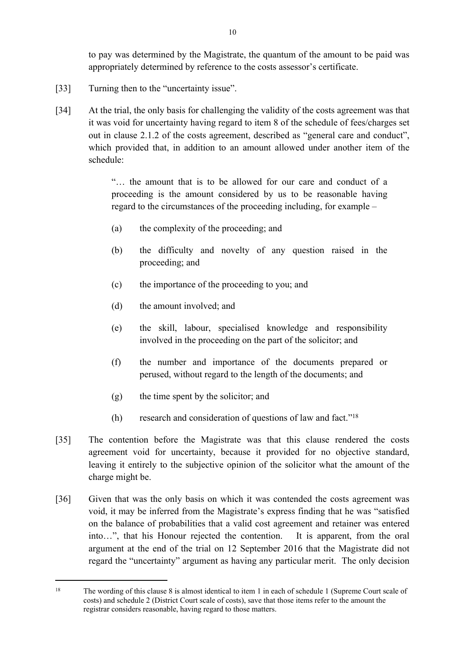to pay was determined by the Magistrate, the quantum of the amount to be paid was appropriately determined by reference to the costs assessor's certificate.

- [33] Turning then to the "uncertainty issue".
- [34] At the trial, the only basis for challenging the validity of the costs agreement was that it was void for uncertainty having regard to item 8 of the schedule of fees/charges set out in clause 2.1.2 of the costs agreement, described as "general care and conduct", which provided that, in addition to an amount allowed under another item of the schedule:

"… the amount that is to be allowed for our care and conduct of a proceeding is the amount considered by us to be reasonable having regard to the circumstances of the proceeding including, for example –

- (a) the complexity of the proceeding; and
- (b) the difficulty and novelty of any question raised in the proceeding; and
- (c) the importance of the proceeding to you; and
- (d) the amount involved; and
- (e) the skill, labour, specialised knowledge and responsibility involved in the proceeding on the part of the solicitor; and
- (f) the number and importance of the documents prepared or perused, without regard to the length of the documents; and
- (g) the time spent by the solicitor; and
- (h) research and consideration of questions of law and fact."<sup>18</sup>
- [35] The contention before the Magistrate was that this clause rendered the costs agreement void for uncertainty, because it provided for no objective standard, leaving it entirely to the subjective opinion of the solicitor what the amount of the charge might be.
- [36] Given that was the only basis on which it was contended the costs agreement was void, it may be inferred from the Magistrate's express finding that he was "satisfied on the balance of probabilities that a valid cost agreement and retainer was entered into…", that his Honour rejected the contention. It is apparent, from the oral argument at the end of the trial on 12 September 2016 that the Magistrate did not regard the "uncertainty" argument as having any particular merit. The only decision

<sup>18</sup> The wording of this clause 8 is almost identical to item 1 in each of schedule 1 (Supreme Court scale of costs) and schedule 2 (District Court scale of costs), save that those items refer to the amount the registrar considers reasonable, having regard to those matters.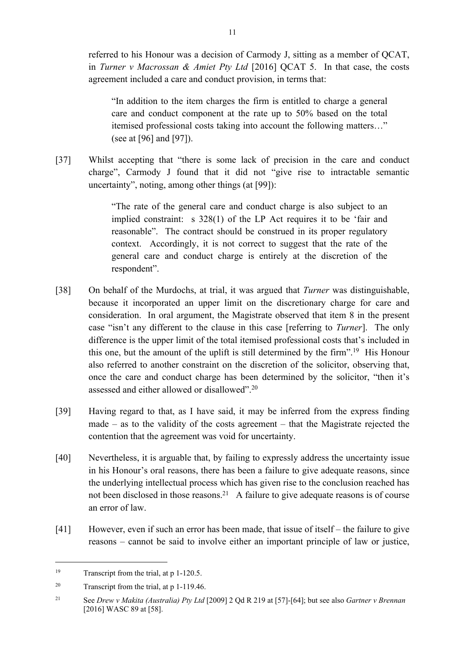referred to his Honour was a decision of Carmody J, sitting as a member of QCAT, in *Turner v Macrossan & Amiet Pty Ltd* [2016] QCAT 5. In that case, the costs agreement included a care and conduct provision, in terms that:

"In addition to the item charges the firm is entitled to charge a general care and conduct component at the rate up to 50% based on the total itemised professional costs taking into account the following matters…" (see at [96] and [97]).

[37] Whilst accepting that "there is some lack of precision in the care and conduct charge", Carmody J found that it did not "give rise to intractable semantic uncertainty", noting, among other things (at [99]):

> "The rate of the general care and conduct charge is also subject to an implied constraint: s 328(1) of the LP Act requires it to be 'fair and reasonable". The contract should be construed in its proper regulatory context. Accordingly, it is not correct to suggest that the rate of the general care and conduct charge is entirely at the discretion of the respondent".

- [38] On behalf of the Murdochs, at trial, it was argued that *Turner* was distinguishable, because it incorporated an upper limit on the discretionary charge for care and consideration. In oral argument, the Magistrate observed that item 8 in the present case "isn't any different to the clause in this case [referring to *Turner*]. The only difference is the upper limit of the total itemised professional costs that's included in this one, but the amount of the uplift is still determined by the firm".<sup>19</sup> His Honour also referred to another constraint on the discretion of the solicitor, observing that, once the care and conduct charge has been determined by the solicitor, "then it's assessed and either allowed or disallowed".<sup>20</sup>
- [39] Having regard to that, as I have said, it may be inferred from the express finding made – as to the validity of the costs agreement – that the Magistrate rejected the contention that the agreement was void for uncertainty.
- [40] Nevertheless, it is arguable that, by failing to expressly address the uncertainty issue in his Honour's oral reasons, there has been a failure to give adequate reasons, since the underlying intellectual process which has given rise to the conclusion reached has not been disclosed in those reasons.<sup>21</sup> A failure to give adequate reasons is of course an error of law.
- [41] However, even if such an error has been made, that issue of itself the failure to give reasons – cannot be said to involve either an important principle of law or justice,

<sup>&</sup>lt;sup>19</sup> Transcript from the trial, at p 1-120.5.

<sup>&</sup>lt;sup>20</sup> Transcript from the trial, at p 1-119.46.

<sup>21</sup> See *Drew v Makita (Australia) Pty Ltd* [2009] 2 Qd R 219 at [57]-[64]; but see also *Gartner v Brennan*  [2016] WASC 89 at [58].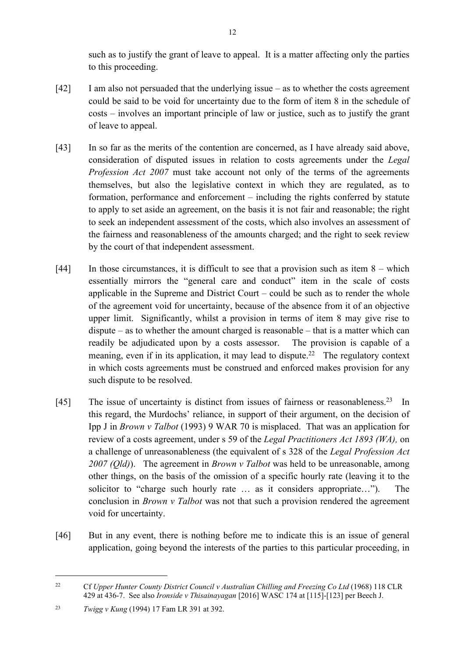such as to justify the grant of leave to appeal. It is a matter affecting only the parties to this proceeding.

- [42] I am also not persuaded that the underlying issue as to whether the costs agreement could be said to be void for uncertainty due to the form of item 8 in the schedule of costs – involves an important principle of law or justice, such as to justify the grant of leave to appeal.
- [43] In so far as the merits of the contention are concerned, as I have already said above, consideration of disputed issues in relation to costs agreements under the *Legal Profession Act 2007* must take account not only of the terms of the agreements themselves, but also the legislative context in which they are regulated, as to formation, performance and enforcement – including the rights conferred by statute to apply to set aside an agreement, on the basis it is not fair and reasonable; the right to seek an independent assessment of the costs, which also involves an assessment of the fairness and reasonableness of the amounts charged; and the right to seek review by the court of that independent assessment.
- [44] In those circumstances, it is difficult to see that a provision such as item 8 which essentially mirrors the "general care and conduct" item in the scale of costs applicable in the Supreme and District Court – could be such as to render the whole of the agreement void for uncertainty, because of the absence from it of an objective upper limit. Significantly, whilst a provision in terms of item 8 may give rise to dispute – as to whether the amount charged is reasonable – that is a matter which can readily be adjudicated upon by a costs assessor. The provision is capable of a meaning, even if in its application, it may lead to dispute.<sup>22</sup> The regulatory context in which costs agreements must be construed and enforced makes provision for any such dispute to be resolved.
- [45] The issue of uncertainty is distinct from issues of fairness or reasonableness.<sup>23</sup> In this regard, the Murdochs' reliance, in support of their argument, on the decision of Ipp J in *Brown v Talbot* (1993) 9 WAR 70 is misplaced. That was an application for review of a costs agreement, under s 59 of the *Legal Practitioners Act 1893 (WA),* on a challenge of unreasonableness (the equivalent of s 328 of the *Legal Profession Act 2007 (Qld)*). The agreement in *Brown v Talbot* was held to be unreasonable, among other things, on the basis of the omission of a specific hourly rate (leaving it to the solicitor to "charge such hourly rate … as it considers appropriate…"). The conclusion in *Brown v Talbot* was not that such a provision rendered the agreement void for uncertainty.
- [46] But in any event, there is nothing before me to indicate this is an issue of general application, going beyond the interests of the parties to this particular proceeding, in

<sup>&</sup>lt;sup>22</sup> Cf *Upper Hunter County District Council v Australian Chilling and Freezing Co Ltd* (1968) 118 CLR 429 at 436-7. See also *Ironside v Thisainayagan* [2016] WASC 174 at [115]-[123] per Beech J.

<sup>23</sup> *Twigg v Kung* (1994) 17 Fam LR 391 at 392.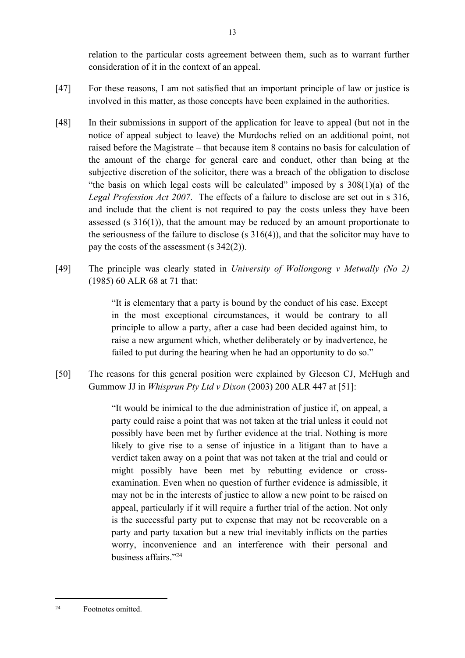relation to the particular costs agreement between them, such as to warrant further consideration of it in the context of an appeal.

- [47] For these reasons, I am not satisfied that an important principle of law or justice is involved in this matter, as those concepts have been explained in the authorities.
- [48] In their submissions in support of the application for leave to appeal (but not in the notice of appeal subject to leave) the Murdochs relied on an additional point, not raised before the Magistrate – that because item 8 contains no basis for calculation of the amount of the charge for general care and conduct, other than being at the subjective discretion of the solicitor, there was a breach of the obligation to disclose "the basis on which legal costs will be calculated" imposed by s  $308(1)(a)$  of the *Legal Profession Act 2007*. The effects of a failure to disclose are set out in s 316, and include that the client is not required to pay the costs unless they have been assessed (s  $316(1)$ ), that the amount may be reduced by an amount proportionate to the seriousness of the failure to disclose (s  $316(4)$ ), and that the solicitor may have to pay the costs of the assessment (s 342(2)).
- [49] The principle was clearly stated in *University of Wollongong v Metwally (No 2)* (1985) 60 ALR 68 at 71 that:

"It is elementary that a party is bound by the conduct of his case. Except in the most exceptional circumstances, it would be contrary to all principle to allow a party, after a case had been decided against him, to raise a new argument which, whether deliberately or by inadvertence, he failed to put during the hearing when he had an opportunity to do so."

[50] The reasons for this general position were explained by Gleeson CJ, McHugh and Gummow JJ in *Whisprun Pty Ltd v Dixon* (2003) 200 ALR 447 at [51]:

> "It would be inimical to the due administration of justice if, on appeal, a party could raise a point that was not taken at the trial unless it could not possibly have been met by further evidence at the trial. Nothing is more likely to give rise to a sense of injustice in a litigant than to have a verdict taken away on a point that was not taken at the trial and could or might possibly have been met by rebutting evidence or crossexamination. Even when no question of further evidence is admissible, it may not be in the interests of justice to allow a new point to be raised on appeal, particularly if it will require a further trial of the action. Not only is the successful party put to expense that may not be recoverable on a party and party taxation but a new trial inevitably inflicts on the parties worry, inconvenience and an interference with their personal and business affairs."<sup>24</sup>

<sup>24</sup> Footnotes omitted.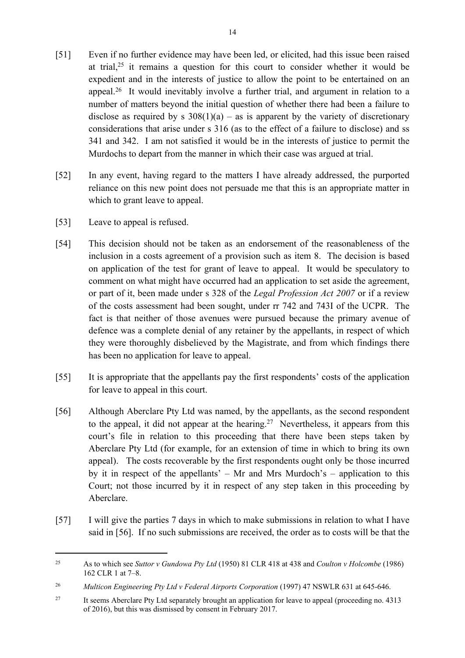- [51] Even if no further evidence may have been led, or elicited, had this issue been raised at trial,  $25$  it remains a question for this court to consider whether it would be expedient and in the interests of justice to allow the point to be entertained on an appeal.<sup>26</sup> It would inevitably involve a further trial, and argument in relation to a number of matters beyond the initial question of whether there had been a failure to disclose as required by s  $308(1)(a)$  – as is apparent by the variety of discretionary considerations that arise under s 316 (as to the effect of a failure to disclose) and ss 341 and 342. I am not satisfied it would be in the interests of justice to permit the Murdochs to depart from the manner in which their case was argued at trial.
- [52] In any event, having regard to the matters I have already addressed, the purported reliance on this new point does not persuade me that this is an appropriate matter in which to grant leave to appeal.
- [53] Leave to appeal is refused.
- [54] This decision should not be taken as an endorsement of the reasonableness of the inclusion in a costs agreement of a provision such as item 8. The decision is based on application of the test for grant of leave to appeal. It would be speculatory to comment on what might have occurred had an application to set aside the agreement, or part of it, been made under s 328 of the *Legal Profession Act 2007* or if a review of the costs assessment had been sought, under rr 742 and 743I of the UCPR. The fact is that neither of those avenues were pursued because the primary avenue of defence was a complete denial of any retainer by the appellants, in respect of which they were thoroughly disbelieved by the Magistrate, and from which findings there has been no application for leave to appeal.
- [55] It is appropriate that the appellants pay the first respondents' costs of the application for leave to appeal in this court.
- [56] Although Aberclare Pty Ltd was named, by the appellants, as the second respondent to the appeal, it did not appear at the hearing.<sup>27</sup> Nevertheless, it appears from this court's file in relation to this proceeding that there have been steps taken by Aberclare Pty Ltd (for example, for an extension of time in which to bring its own appeal). The costs recoverable by the first respondents ought only be those incurred by it in respect of the appellants' – Mr and Mrs Murdoch's – application to this Court; not those incurred by it in respect of any step taken in this proceeding by Aberclare.
- [57] I will give the parties 7 days in which to make submissions in relation to what I have said in [56]. If no such submissions are received, the order as to costs will be that the

<sup>25</sup> As to which see *Suttor v Gundowa Pty Ltd* (1950) 81 CLR 418 at 438 and *Coulton v Holcombe* (1986) 162 CLR 1 at 7–8.

<sup>&</sup>lt;sup>26</sup> *Multicon Engineering Pty Ltd v Federal Airports Corporation* (1997) 47 NSWLR 631 at 645-646.

<sup>&</sup>lt;sup>27</sup> It seems Aberclare Pty Ltd separately brought an application for leave to appeal (proceeding no. 4313 of 2016), but this was dismissed by consent in February 2017.